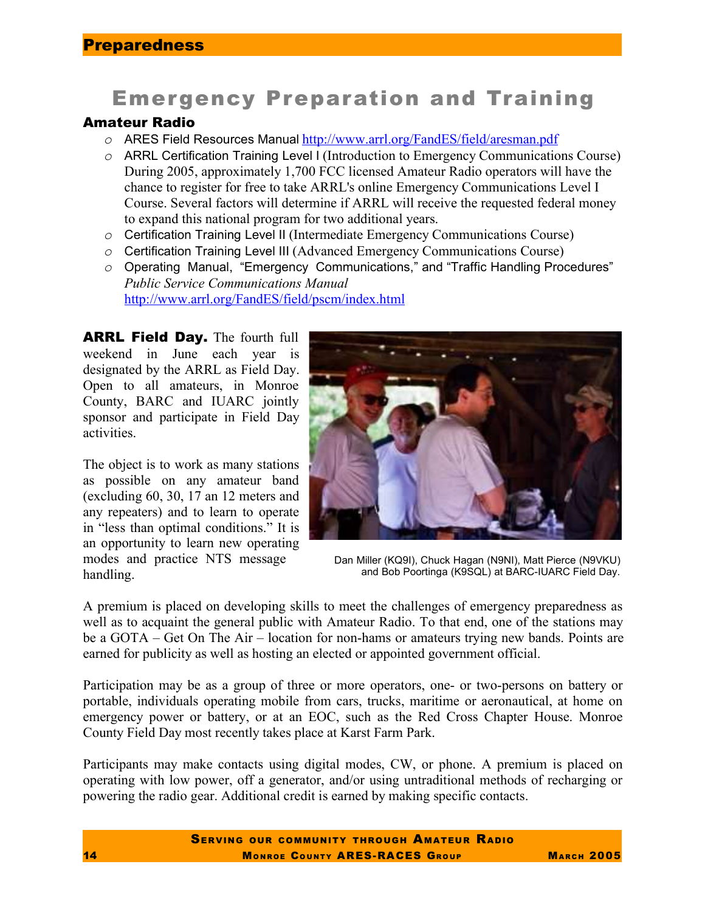# Emergency Preparation and Training

# Amateur Radio

- *o* ARES Field Resources Manual http://www.arrl.org/FandES/field/aresman.pdf
- *o* ARRL Certification Training Level I (Introduction to Emergency Communications Course) During 2005, approximately 1,700 FCC licensed Amateur Radio operators will have the chance to register for free to take ARRL's online Emergency Communications Level I Course. Several factors will determine if ARRL will receive the requested federal money to expand this national program for two additional years.
- *o* Certification Training Level II (Intermediate Emergency Communications Course)
- *o* Certification Training Level III (Advanced Emergency Communications Course)
- *o* Operating Manual, "Emergency Communications," and "Traffic Handling Procedures" *Public Service Communications Manual*  http://www.arrl.org/FandES/field/pscm/index.html

ARRL Field Day. The fourth full weekend in June each year is designated by the ARRL as Field Day. Open to all amateurs, in Monroe County, BARC and IUARC jointly sponsor and participate in Field Day activities.

The object is to work as many stations as possible on any amateur band (excluding 60, 30, 17 an 12 meters and any repeaters) and to learn to operate in "less than optimal conditions." It is an opportunity to learn new operating modes and practice NTS message handling.



Dan Miller (KQ9I), Chuck Hagan (N9NI), Matt Pierce (N9VKU) and Bob Poortinga (K9SQL) at BARC-IUARC Field Day.

A premium is placed on developing skills to meet the challenges of emergency preparedness as well as to acquaint the general public with Amateur Radio. To that end, one of the stations may be a GOTA – Get On The Air – location for non-hams or amateurs trying new bands. Points are earned for publicity as well as hosting an elected or appointed government official.

Participation may be as a group of three or more operators, one- or two-persons on battery or portable, individuals operating mobile from cars, trucks, maritime or aeronautical, at home on emergency power or battery, or at an EOC, such as the Red Cross Chapter House. Monroe County Field Day most recently takes place at Karst Farm Park.

Participants may make contacts using digital modes, CW, or phone. A premium is placed on operating with low power, off a generator, and/or using untraditional methods of recharging or powering the radio gear. Additional credit is earned by making specific contacts.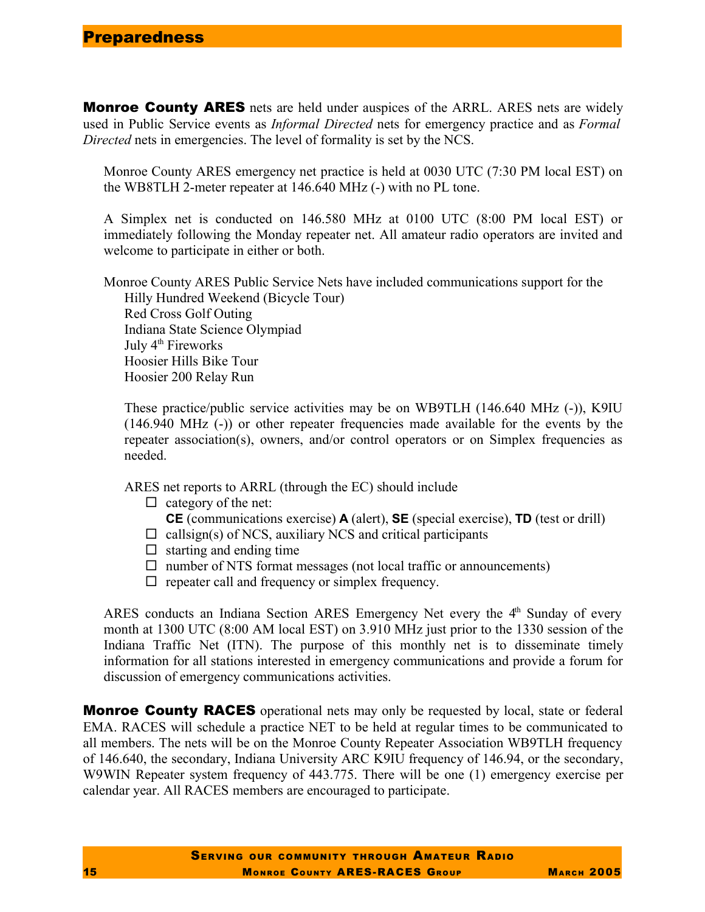Monroe County ARES nets are held under auspices of the ARRL. ARES nets are widely used in Public Service events as *Informal Directed* nets for emergency practice and as *Formal Directed* nets in emergencies. The level of formality is set by the NCS.

Monroe County ARES emergency net practice is held at 0030 UTC (7:30 PM local EST) on the WB8TLH 2-meter repeater at 146.640 MHz (-) with no PL tone.

A Simplex net is conducted on 146.580 MHz at 0100 UTC (8:00 PM local EST) or immediately following the Monday repeater net. All amateur radio operators are invited and welcome to participate in either or both.

Monroe County ARES Public Service Nets have included communications support for the Hilly Hundred Weekend (Bicycle Tour) Red Cross Golf Outing Indiana State Science Olympiad July 4<sup>th</sup> Fireworks Hoosier Hills Bike Tour Hoosier 200 Relay Run

These practice/public service activities may be on WB9TLH (146.640 MHz (-)), K9IU (146.940 MHz (-)) or other repeater frequencies made available for the events by the repeater association(s), owners, and/or control operators or on Simplex frequencies as needed.

ARES net reports to ARRL (through the EC) should include

 $\Box$  category of the net:

**CE** (communications exercise) **A** (alert), **SE** (special exercise), **TD** (test or drill)

- $\Box$  callsign(s) of NCS, auxiliary NCS and critical participants
- $\Box$  starting and ending time
- $\Box$  number of NTS format messages (not local traffic or announcements)
- $\Box$  repeater call and frequency or simplex frequency.

ARES conducts an Indiana Section ARES Emergency Net every the 4<sup>th</sup> Sunday of every month at 1300 UTC (8:00 AM local EST) on 3.910 MHz just prior to the 1330 session of the Indiana Traffic Net (ITN). The purpose of this monthly net is to disseminate timely information for all stations interested in emergency communications and provide a forum for discussion of emergency communications activities.

**Monroe County RACES** operational nets may only be requested by local, state or federal EMA. RACES will schedule a practice NET to be held at regular times to be communicated to all members. The nets will be on the Monroe County Repeater Association WB9TLH frequency of 146.640, the secondary, Indiana University ARC K9IU frequency of 146.94, or the secondary, W9WIN Repeater system frequency of 443.775. There will be one (1) emergency exercise per calendar year. All RACES members are encouraged to participate.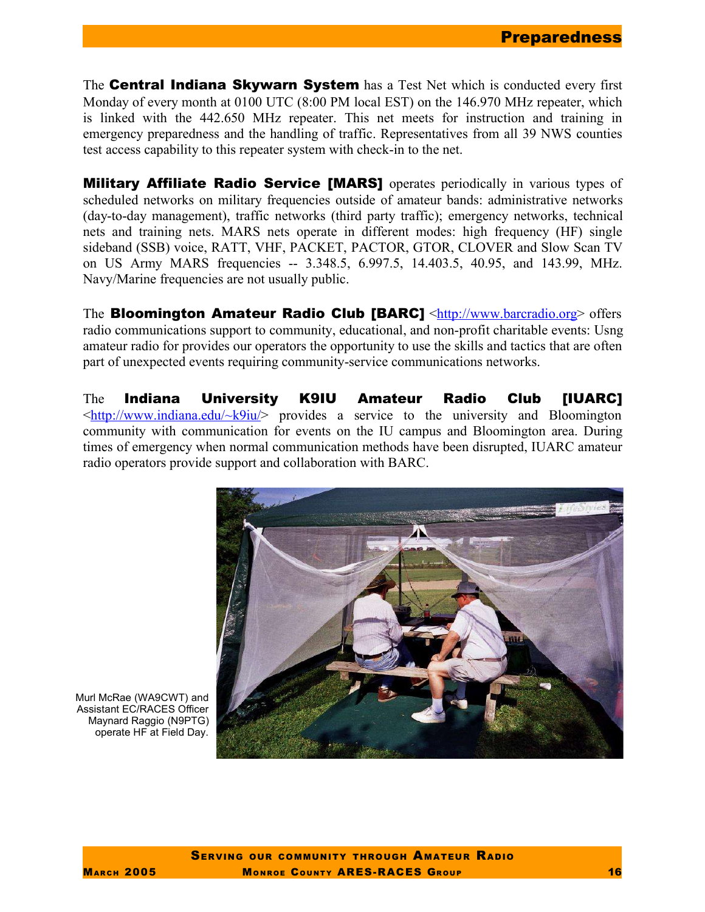The **Central Indiana Skywarn System** has a Test Net which is conducted every first Monday of every month at 0100 UTC (8:00 PM local EST) on the 146.970 MHz repeater, which is linked with the 442.650 MHz repeater. This net meets for instruction and training in emergency preparedness and the handling of traffic. Representatives from all 39 NWS counties test access capability to this repeater system with check-in to the net.

**Military Affiliate Radio Service [MARS]** operates periodically in various types of scheduled networks on military frequencies outside of amateur bands: administrative networks (day-to-day management), traffic networks (third party traffic); emergency networks, technical nets and training nets. MARS nets operate in different modes: high frequency (HF) single sideband (SSB) voice, RATT, VHF, PACKET, PACTOR, GTOR, CLOVER and Slow Scan TV on US Army MARS frequencies -- 3.348.5, 6.997.5, 14.403.5, 40.95, and 143.99, MHz. Navy/Marine frequencies are not usually public.

The **Bloomington Amateur Radio Club [BARC]** <http://www.barcradio.org> offers radio communications support to community, educational, and non-profit charitable events: Usng amateur radio for provides our operators the opportunity to use the skills and tactics that are often part of unexpected events requiring community-service communications networks.

The Indiana University K9IU Amateur Radio Club [IUARC]  $\frac{\text{th}}{\text{t}}$  //www.indiana.edu/~k9iu/> provides a service to the university and Bloomington community with communication for events on the IU campus and Bloomington area. During times of emergency when normal communication methods have been disrupted, IUARC amateur radio operators provide support and collaboration with BARC.



Murl McRae (WA9CWT) and Assistant EC/RACES Officer Maynard Raggio (N9PTG) operate HF at Field Day.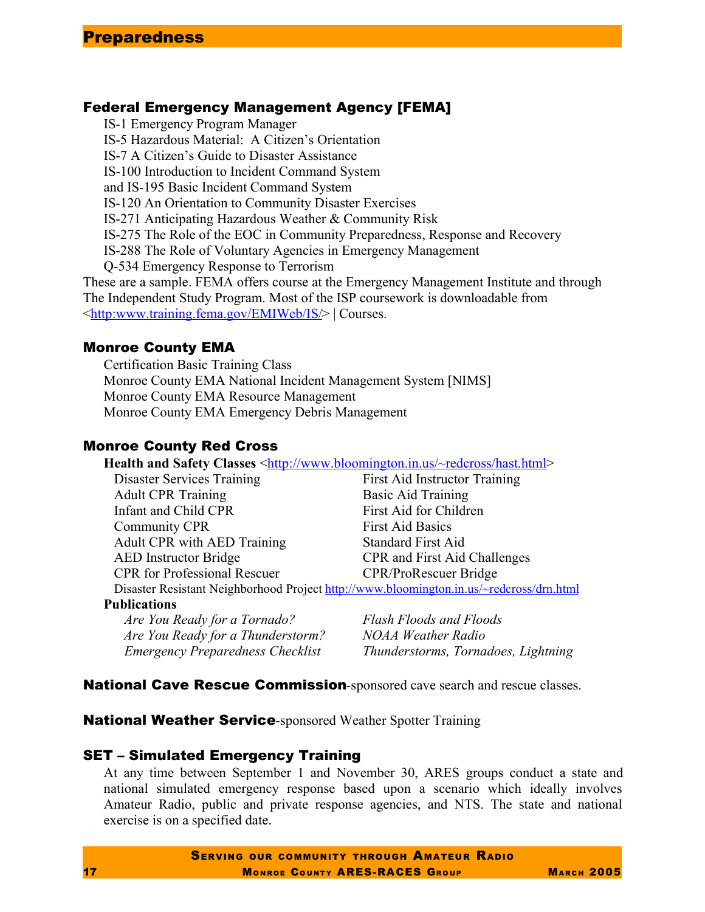### Federal Emergency Management Agency [FEMA]

IS-1 Emergency Program Manager IS-5 Hazardous Material: A Citizen's Orientation IS-7 A Citizen's Guide to Disaster Assistance IS-100 Introduction to Incident Command System and IS-195 Basic Incident Command System IS-120 An Orientation to Community Disaster Exercises IS-271 Anticipating Hazardous Weather & Community Risk IS-275 The Role of the EOC in Community Preparedness, Response and Recovery IS-288 The Role of Voluntary Agencies in Emergency Management Q-534 Emergency Response to Terrorism These are a sample. FEMA offers course at the Emergency Management Institute and through The Independent Study Program. Most of the ISP coursework is downloadable from <http:www.training.fema.gov/EMIWeb/IS/> | Courses.

#### Monroe County EMA

Certification Basic Training Class Monroe County EMA National Incident Management System [NIMS] Monroe County EMA Resource Management Monroe County EMA Emergency Debris Management

## Monroe County Red Cross

**Health and Safety Classes** <http://www.bloomington.in.us/~redcross/hast.html>

Disaster Services Training First Aid Instructor Training Adult CPR Training Basic Aid Training Infant and Child CPR First Aid for Children Community CPR First Aid Basics Adult CPR with AED Training Standard First Aid

AED Instructor Bridge CPR and First Aid Challenges CPR for Professional Rescuer CPR/ProRescuer Bridge

Disaster Resistant Neighborhood Project http://www.bloomington.in.us/~redcross/drn.html

#### **Publications**

*Are You Ready for a Tornado? Flash Floods and Floods Are You Ready for a Thunderstorm? NOAA Weather Radio*

*Emergency Preparedness Checklist Thunderstorms, Tornadoes, Lightning*

National Cave Rescue Commission-sponsored cave search and rescue classes.

**National Weather Service-**sponsored Weather Spotter Training

### SET – Simulated Emergency Training

At any time between September 1 and November 30, ARES groups conduct a state and national simulated emergency response based upon a scenario which ideally involves Amateur Radio, public and private response agencies, and NTS. The state and national exercise is on a specified date.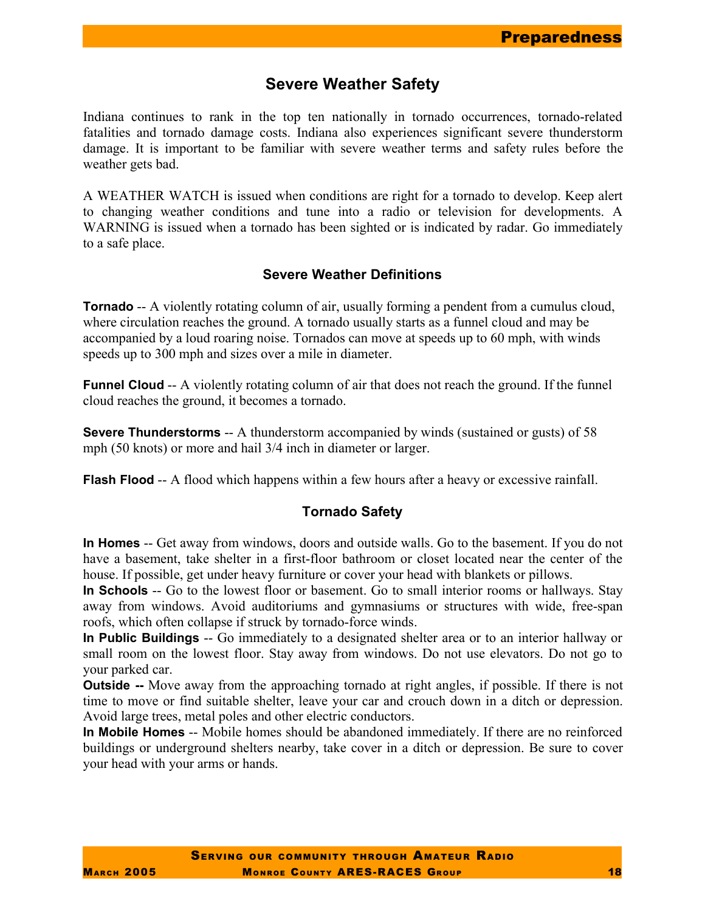# **Severe Weather Safety**

Indiana continues to rank in the top ten nationally in tornado occurrences, tornado-related fatalities and tornado damage costs. Indiana also experiences significant severe thunderstorm damage. It is important to be familiar with severe weather terms and safety rules before the weather gets bad.

A WEATHER WATCH is issued when conditions are right for a tornado to develop. Keep alert to changing weather conditions and tune into a radio or television for developments. A WARNING is issued when a tornado has been sighted or is indicated by radar. Go immediately to a safe place.

#### **Severe Weather Definitions**

**Tornado** -- A violently rotating column of air, usually forming a pendent from a cumulus cloud, where circulation reaches the ground. A tornado usually starts as a funnel cloud and may be accompanied by a loud roaring noise. Tornados can move at speeds up to 60 mph, with winds speeds up to 300 mph and sizes over a mile in diameter.

**Funnel Cloud** -- A violently rotating column of air that does not reach the ground. If the funnel cloud reaches the ground, it becomes a tornado.

**Severe Thunderstorms** -- A thunderstorm accompanied by winds (sustained or gusts) of 58 mph (50 knots) or more and hail 3/4 inch in diameter or larger.

**Flash Flood** -- A flood which happens within a few hours after a heavy or excessive rainfall.

#### **Tornado Safety**

**In Homes** -- Get away from windows, doors and outside walls. Go to the basement. If you do not have a basement, take shelter in a first-floor bathroom or closet located near the center of the house. If possible, get under heavy furniture or cover your head with blankets or pillows.

**In Schools** -- Go to the lowest floor or basement. Go to small interior rooms or hallways. Stay away from windows. Avoid auditoriums and gymnasiums or structures with wide, free-span roofs, which often collapse if struck by tornado-force winds.

**In Public Buildings** -- Go immediately to a designated shelter area or to an interior hallway or small room on the lowest floor. Stay away from windows. Do not use elevators. Do not go to your parked car.

**Outside --** Move away from the approaching tornado at right angles, if possible. If there is not time to move or find suitable shelter, leave your car and crouch down in a ditch or depression. Avoid large trees, metal poles and other electric conductors.

**In Mobile Homes** -- Mobile homes should be abandoned immediately. If there are no reinforced buildings or underground shelters nearby, take cover in a ditch or depression. Be sure to cover your head with your arms or hands.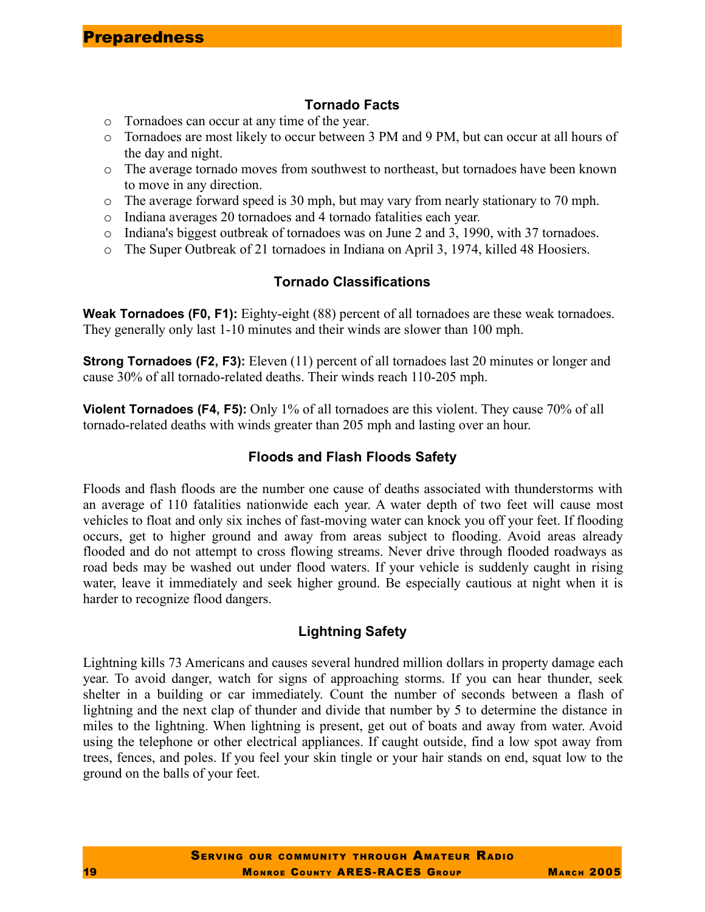### **Tornado Facts**

- o Tornadoes can occur at any time of the year.
- o Tornadoes are most likely to occur between 3 PM and 9 PM, but can occur at all hours of the day and night.
- o The average tornado moves from southwest to northeast, but tornadoes have been known to move in any direction.
- o The average forward speed is 30 mph, but may vary from nearly stationary to 70 mph.
- o Indiana averages 20 tornadoes and 4 tornado fatalities each year.
- $\circ$  Indiana's biggest outbreak of tornadoes was on June 2 and 3, 1990, with 37 tornadoes.
- o The Super Outbreak of 21 tornadoes in Indiana on April 3, 1974, killed 48 Hoosiers.

#### **Tornado Classifications**

**Weak Tornadoes (F0, F1):** Eighty-eight (88) percent of all tornadoes are these weak tornadoes. They generally only last 1-10 minutes and their winds are slower than 100 mph.

**Strong Tornadoes (F2, F3):** Eleven (11) percent of all tornadoes last 20 minutes or longer and cause 30% of all tornado-related deaths. Their winds reach 110-205 mph.

**Violent Tornadoes (F4, F5):** Only 1% of all tornadoes are this violent. They cause 70% of all tornado-related deaths with winds greater than 205 mph and lasting over an hour.

#### **Floods and Flash Floods Safety**

Floods and flash floods are the number one cause of deaths associated with thunderstorms with an average of 110 fatalities nationwide each year. A water depth of two feet will cause most vehicles to float and only six inches of fast-moving water can knock you off your feet. If flooding occurs, get to higher ground and away from areas subject to flooding. Avoid areas already flooded and do not attempt to cross flowing streams. Never drive through flooded roadways as road beds may be washed out under flood waters. If your vehicle is suddenly caught in rising water, leave it immediately and seek higher ground. Be especially cautious at night when it is harder to recognize flood dangers.

### **Lightning Safety**

Lightning kills 73 Americans and causes several hundred million dollars in property damage each year. To avoid danger, watch for signs of approaching storms. If you can hear thunder, seek shelter in a building or car immediately. Count the number of seconds between a flash of lightning and the next clap of thunder and divide that number by 5 to determine the distance in miles to the lightning. When lightning is present, get out of boats and away from water. Avoid using the telephone or other electrical appliances. If caught outside, find a low spot away from trees, fences, and poles. If you feel your skin tingle or your hair stands on end, squat low to the ground on the balls of your feet.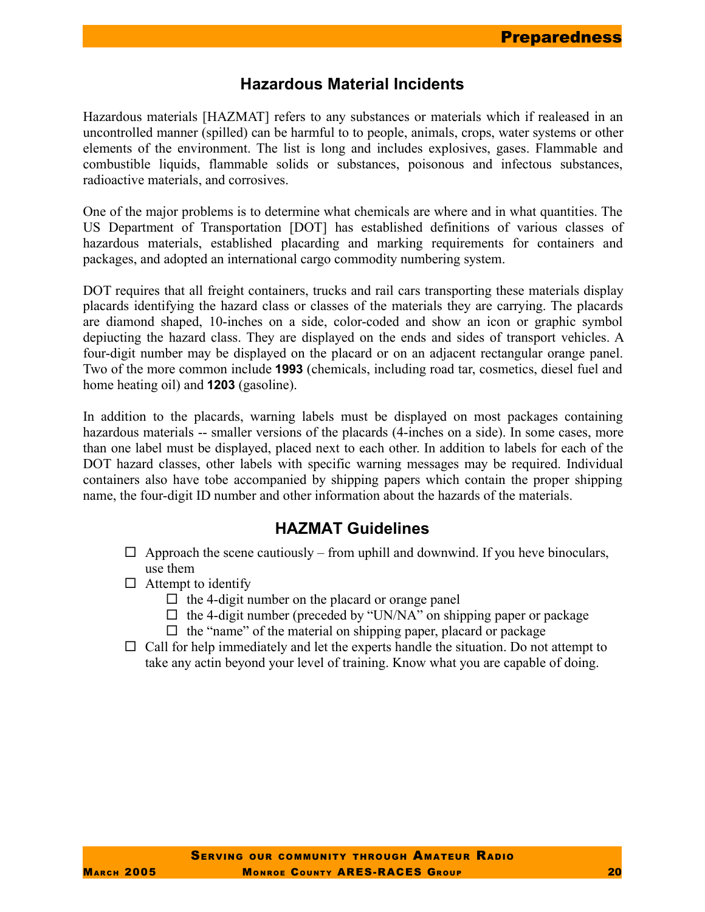# **Hazardous Material Incidents**

Hazardous materials [HAZMAT] refers to any substances or materials which if realeased in an uncontrolled manner (spilled) can be harmful to to people, animals, crops, water systems or other elements of the environment. The list is long and includes explosives, gases. Flammable and combustible liquids, flammable solids or substances, poisonous and infectous substances, radioactive materials, and corrosives.

One of the major problems is to determine what chemicals are where and in what quantities. The US Department of Transportation [DOT] has established definitions of various classes of hazardous materials, established placarding and marking requirements for containers and packages, and adopted an international cargo commodity numbering system.

DOT requires that all freight containers, trucks and rail cars transporting these materials display placards identifying the hazard class or classes of the materials they are carrying. The placards are diamond shaped, 10-inches on a side, color-coded and show an icon or graphic symbol depiucting the hazard class. They are displayed on the ends and sides of transport vehicles. A four-digit number may be displayed on the placard or on an adjacent rectangular orange panel. Two of the more common include **1993** (chemicals, including road tar, cosmetics, diesel fuel and home heating oil) and **1203** (gasoline).

In addition to the placards, warning labels must be displayed on most packages containing hazardous materials -- smaller versions of the placards (4-inches on a side). In some cases, more than one label must be displayed, placed next to each other. In addition to labels for each of the DOT hazard classes, other labels with specific warning messages may be required. Individual containers also have tobe accompanied by shipping papers which contain the proper shipping name, the four-digit ID number and other information about the hazards of the materials.

# **HAZMAT Guidelines**

- $\Box$  Approach the scene cautiously from uphill and downwind. If you heve binoculars, use them
- $\Box$  Attempt to identify
	- $\Box$  the 4-digit number on the placard or orange panel
	- $\Box$  the 4-digit number (preceded by "UN/NA" on shipping paper or package
	- $\Box$  the "name" of the material on shipping paper, placard or package
- $\Box$  Call for help immediately and let the experts handle the situation. Do not attempt to take any actin beyond your level of training. Know what you are capable of doing.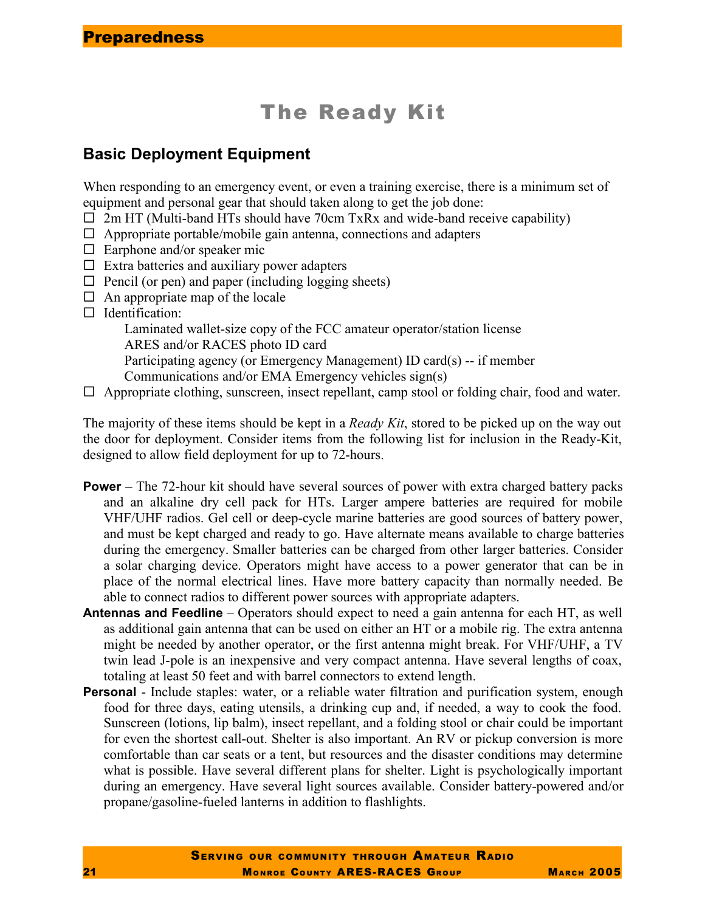# The Ready Kit

# **Basic Deployment Equipment**

When responding to an emergency event, or even a training exercise, there is a minimum set of equipment and personal gear that should taken along to get the job done:

- $\Box$  2m HT (Multi-band HTs should have 70cm TxRx and wide-band receive capability)
- $\Box$  Appropriate portable/mobile gain antenna, connections and adapters
- $\Box$  Earphone and/or speaker mic
- $\square$  Extra batteries and auxiliary power adapters
- $\Box$  Pencil (or pen) and paper (including logging sheets)
- $\Box$  An appropriate map of the locale
- $\Box$  Identification:

Laminated wallet-size copy of the FCC amateur operator/station license ARES and/or RACES photo ID card

Participating agency (or Emergency Management) ID card(s) -- if member

Communications and/or EMA Emergency vehicles sign(s)

 $\Box$  Appropriate clothing, sunscreen, insect repellant, camp stool or folding chair, food and water.

The majority of these items should be kept in a *Ready Kit*, stored to be picked up on the way out the door for deployment. Consider items from the following list for inclusion in the Ready-Kit, designed to allow field deployment for up to 72-hours.

- **Power** The 72-hour kit should have several sources of power with extra charged battery packs and an alkaline dry cell pack for HTs. Larger ampere batteries are required for mobile VHF/UHF radios. Gel cell or deep-cycle marine batteries are good sources of battery power, and must be kept charged and ready to go. Have alternate means available to charge batteries during the emergency. Smaller batteries can be charged from other larger batteries. Consider a solar charging device. Operators might have access to a power generator that can be in place of the normal electrical lines. Have more battery capacity than normally needed. Be able to connect radios to different power sources with appropriate adapters.
- **Antennas and Feedline** Operators should expect to need a gain antenna for each HT, as well as additional gain antenna that can be used on either an HT or a mobile rig. The extra antenna might be needed by another operator, or the first antenna might break. For VHF/UHF, a TV twin lead J-pole is an inexpensive and very compact antenna. Have several lengths of coax, totaling at least 50 feet and with barrel connectors to extend length.
- **Personal** Include staples: water, or a reliable water filtration and purification system, enough food for three days, eating utensils, a drinking cup and, if needed, a way to cook the food. Sunscreen (lotions, lip balm), insect repellant, and a folding stool or chair could be important for even the shortest call-out. Shelter is also important. An RV or pickup conversion is more comfortable than car seats or a tent, but resources and the disaster conditions may determine what is possible. Have several different plans for shelter. Light is psychologically important during an emergency. Have several light sources available. Consider battery-powered and/or propane/gasoline-fueled lanterns in addition to flashlights.